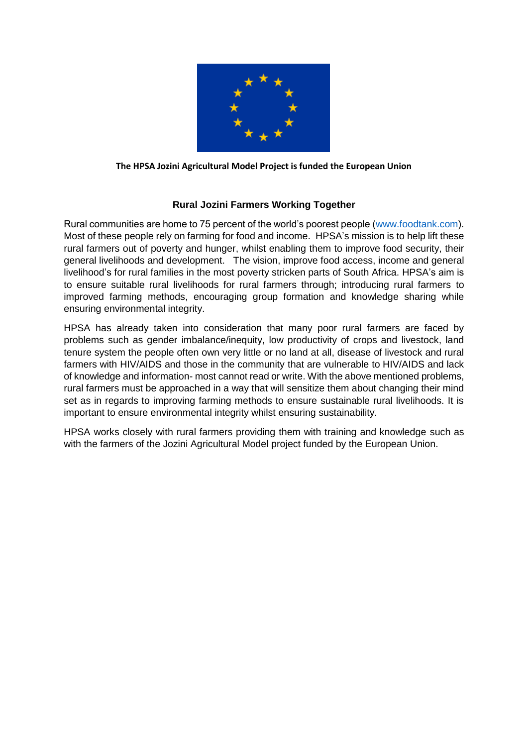

## **The HPSA Jozini Agricultural Model Project is funded the European Union**

## **Rural Jozini Farmers Working Together**

Rural communities are home to 75 percent of the world's poorest people [\(www.foodtank.com\)](http://www.foodtank.com/). Most of these people rely on farming for food and income. HPSA's mission is to help lift these rural farmers out of poverty and hunger, whilst enabling them to improve food security, their general livelihoods and development. The vision, improve food access, income and general livelihood's for rural families in the most poverty stricken parts of South Africa. HPSA's aim is to ensure suitable rural livelihoods for rural farmers through; introducing rural farmers to improved farming methods, encouraging group formation and knowledge sharing while ensuring environmental integrity.

HPSA has already taken into consideration that many poor rural farmers are faced by problems such as gender imbalance/inequity, low productivity of crops and livestock, land tenure system the people often own very little or no land at all, disease of livestock and rural farmers with HIV/AIDS and those in the community that are vulnerable to HIV/AIDS and lack of knowledge and information- most cannot read or write. With the above mentioned problems, rural farmers must be approached in a way that will sensitize them about changing their mind set as in regards to improving farming methods to ensure sustainable rural livelihoods. It is important to ensure environmental integrity whilst ensuring sustainability.

HPSA works closely with rural farmers providing them with training and knowledge such as with the farmers of the Jozini Agricultural Model project funded by the European Union.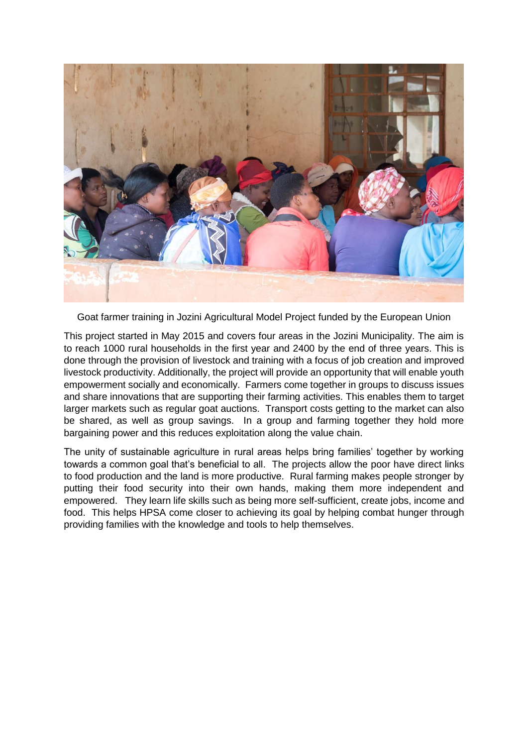

Goat farmer training in Jozini Agricultural Model Project funded by the European Union

This project started in May 2015 and covers four areas in the Jozini Municipality. The aim is to reach 1000 rural households in the first year and 2400 by the end of three years. This is done through the provision of livestock and training with a focus of job creation and improved livestock productivity. Additionally, the project will provide an opportunity that will enable youth empowerment socially and economically. Farmers come together in groups to discuss issues and share innovations that are supporting their farming activities. This enables them to target larger markets such as regular goat auctions. Transport costs getting to the market can also be shared, as well as group savings. In a group and farming together they hold more bargaining power and this reduces exploitation along the value chain.

The unity of sustainable agriculture in rural areas helps bring families' together by working towards a common goal that's beneficial to all. The projects allow the poor have direct links to food production and the land is more productive. Rural farming makes people stronger by putting their food security into their own hands, making them more independent and empowered. They learn life skills such as being more self-sufficient, create jobs, income and food. This helps HPSA come closer to achieving its goal by helping combat hunger through providing families with the knowledge and tools to help themselves.